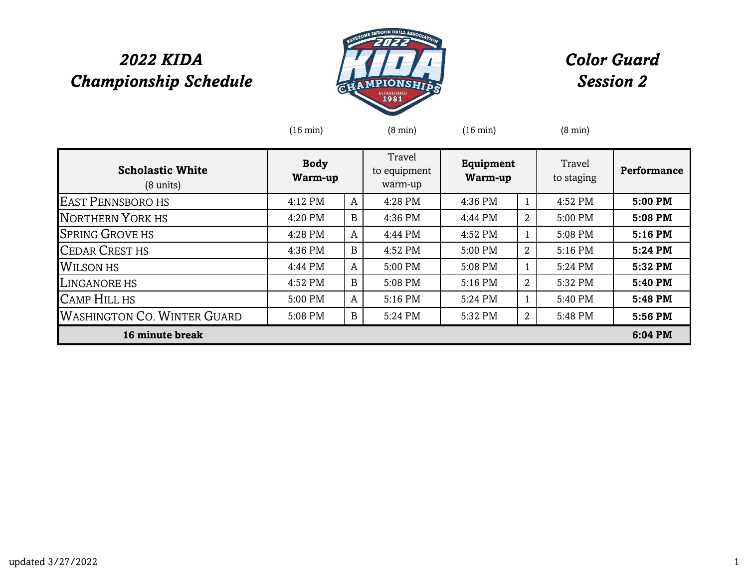## *2022 KIDA Championship Schedule*



## *Color Guard Session 2*

|                                                | $(16 \text{ min})$     |   | $(8 \text{ min})$                 | $(16 \text{ min})$          |                | $(8 \text{ min})$    |                    |
|------------------------------------------------|------------------------|---|-----------------------------------|-----------------------------|----------------|----------------------|--------------------|
| <b>Scholastic White</b><br>$(8 \text{ units})$ | <b>Body</b><br>Warm-up |   | Travel<br>to equipment<br>warm-up | <b>Equipment</b><br>Warm-up |                | Travel<br>to staging | <b>Performance</b> |
| <b>EAST PENNSBORO HS</b>                       | 4:12 PM                | A | 4:28 PM                           | 4:36 PM                     | $\mathbf{1}$   | 4:52 PM              | 5:00 PM            |
| <b>NORTHERN YORK HS</b>                        | 4:20 PM                | B | 4:36 PM                           | 4:44 PM                     | $\mathbf{2}$   | 5:00 PM              | 5:08 PM            |
| <b>SPRING GROVE HS</b>                         | 4:28 PM                | A | 4:44 PM                           | 4:52 PM                     | $\mathbf{1}$   | 5:08 PM              | 5:16 PM            |
| <b>CEDAR CREST HS</b>                          | 4:36 PM                | B | 4:52 PM                           | 5:00 PM                     | 2              | 5:16 PM              | 5:24 PM            |
| <b>WILSON HS</b>                               | 4:44 PM                | A | 5:00 PM                           | 5:08 PM                     | $\mathbf{1}$   | 5:24 PM              | 5:32 PM            |
| <b>LINGANORE HS</b>                            | 4:52 PM                | B | 5:08 PM                           | 5:16 PM                     | $\overline{2}$ | 5:32 PM              | 5:40 PM            |
| <b>CAMP HILL HS</b>                            | 5:00 PM                | A | 5:16 PM                           | 5:24 PM                     | $\mathbf{1}$   | 5:40 PM              | 5:48 PM            |
| <b>WASHINGTON CO. WINTER GUARD</b>             | 5:08 PM                | B | 5:24 PM                           | 5:32 PM                     | $\overline{2}$ | 5:48 PM              | 5:56 PM            |
| 16 minute break                                |                        |   |                                   |                             |                |                      | 6:04 PM            |